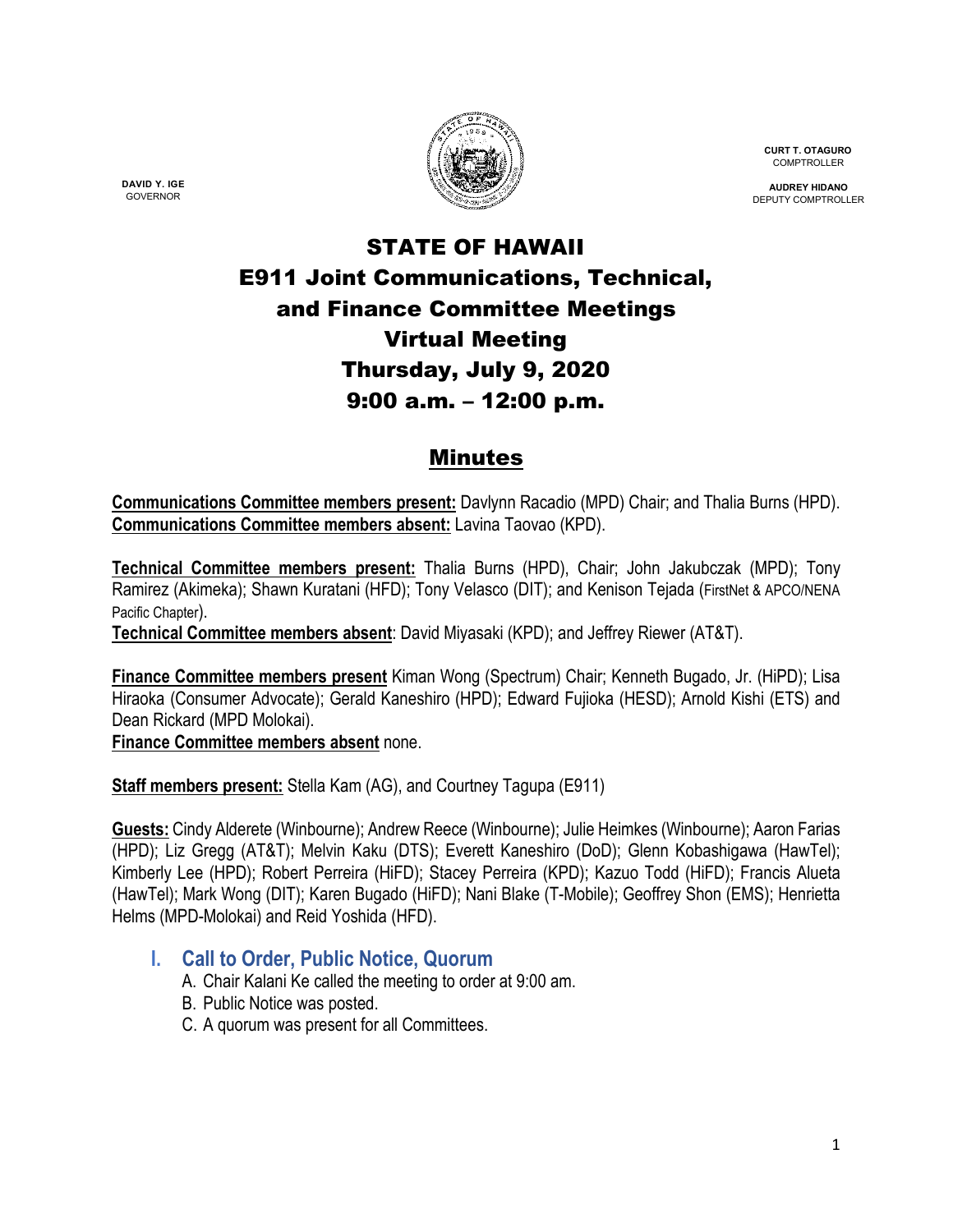

**CURT T. OTAGURO** COMPTROLLER

**AUDREY HIDANO** DEPUTY COMPTROLLER

# STATE OF HAWAII E911 Joint Communications, Technical, and Finance Committee Meetings Virtual Meeting Thursday, July 9, 2020 9:00 a.m. – 12:00 p.m.

# Minutes

**Communications Committee members present:** Davlynn Racadio (MPD) Chair; and Thalia Burns (HPD). **Communications Committee members absent:** Lavina Taovao (KPD).

**Technical Committee members present:** Thalia Burns (HPD), Chair; John Jakubczak (MPD); Tony Ramirez (Akimeka); Shawn Kuratani (HFD); Tony Velasco (DIT); and Kenison Tejada (FirstNet & APCO/NENA Pacific Chapter).

**Technical Committee members absent**: David Miyasaki (KPD); and Jeffrey Riewer (AT&T).

**Finance Committee members present** Kiman Wong (Spectrum) Chair; Kenneth Bugado, Jr. (HiPD); Lisa Hiraoka (Consumer Advocate); Gerald Kaneshiro (HPD); Edward Fujioka (HESD); Arnold Kishi (ETS) and Dean Rickard (MPD Molokai).

**Finance Committee members absent** none.

**Staff members present:** Stella Kam (AG), and Courtney Tagupa (E911)

**Guests:** Cindy Alderete (Winbourne); Andrew Reece (Winbourne); Julie Heimkes (Winbourne); Aaron Farias (HPD); Liz Gregg (AT&T); Melvin Kaku (DTS); Everett Kaneshiro (DoD); Glenn Kobashigawa (HawTel); Kimberly Lee (HPD); Robert Perreira (HiFD); Stacey Perreira (KPD); Kazuo Todd (HiFD); Francis Alueta (HawTel); Mark Wong (DIT); Karen Bugado (HiFD); Nani Blake (T-Mobile); Geoffrey Shon (EMS); Henrietta Helms (MPD-Molokai) and Reid Yoshida (HFD).

- **I. Call to Order, Public Notice, Quorum**
	- A. Chair Kalani Ke called the meeting to order at 9:00 am.
	- B. Public Notice was posted.
	- C. A quorum was present for all Committees.

**DAVID Y. IGE** GOVERNOR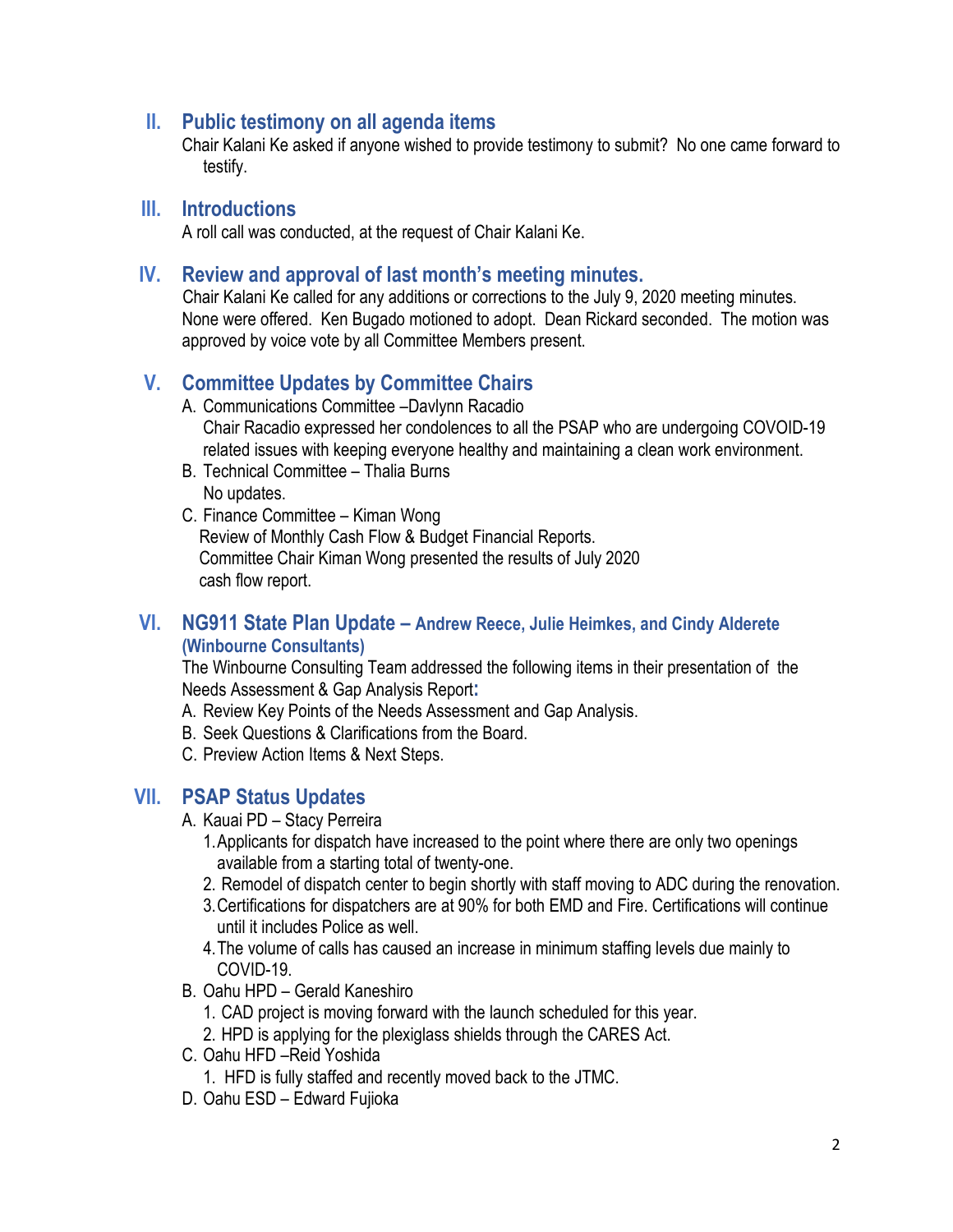#### **II. Public testimony on all agenda items**

Chair Kalani Ke asked if anyone wished to provide testimony to submit? No one came forward to testify.

### **III. Introductions**

A roll call was conducted, at the request of Chair Kalani Ke.

### **IV. Review and approval of last month's meeting minutes.**

 Chair Kalani Ke called for any additions or corrections to the July 9, 2020 meeting minutes. None were offered. Ken Bugado motioned to adopt. Dean Rickard seconded. The motion was approved by voice vote by all Committee Members present.

# **V. Committee Updates by Committee Chairs**

- A. Communications Committee –Davlynn Racadio Chair Racadio expressed her condolences to all the PSAP who are undergoing COVOID-19 related issues with keeping everyone healthy and maintaining a clean work environment.
- B. Technical Committee Thalia Burns No updates.
- C. Finance Committee Kiman Wong Review of Monthly Cash Flow & Budget Financial Reports. Committee Chair Kiman Wong presented the results of July 2020 cash flow report.

#### **VI. NG911 State Plan Update – Andrew Reece, Julie Heimkes, and Cindy Alderete (Winbourne Consultants)**

The Winbourne Consulting Team addressed the following items in their presentation of the Needs Assessment & Gap Analysis Report**:**

- A. Review Key Points of the Needs Assessment and Gap Analysis.
- B. Seek Questions & Clarifications from the Board.
- C. Preview Action Items & Next Steps.

# **VII. PSAP Status Updates**

- A. Kauai PD Stacy Perreira
	- 1.Applicants for dispatch have increased to the point where there are only two openings available from a starting total of twenty-one.
	- 2. Remodel of dispatch center to begin shortly with staff moving to ADC during the renovation.
	- 3.Certifications for dispatchers are at 90% for both EMD and Fire. Certifications will continue until it includes Police as well.
	- 4.The volume of calls has caused an increase in minimum staffing levels due mainly to COVID-19.
- B. Oahu HPD Gerald Kaneshiro
	- 1. CAD project is moving forward with the launch scheduled for this year.
	- 2. HPD is applying for the plexiglass shields through the CARES Act.
- C. Oahu HFD –Reid Yoshida
	- 1. HFD is fully staffed and recently moved back to the JTMC.
- D. Oahu ESD Edward Fujioka